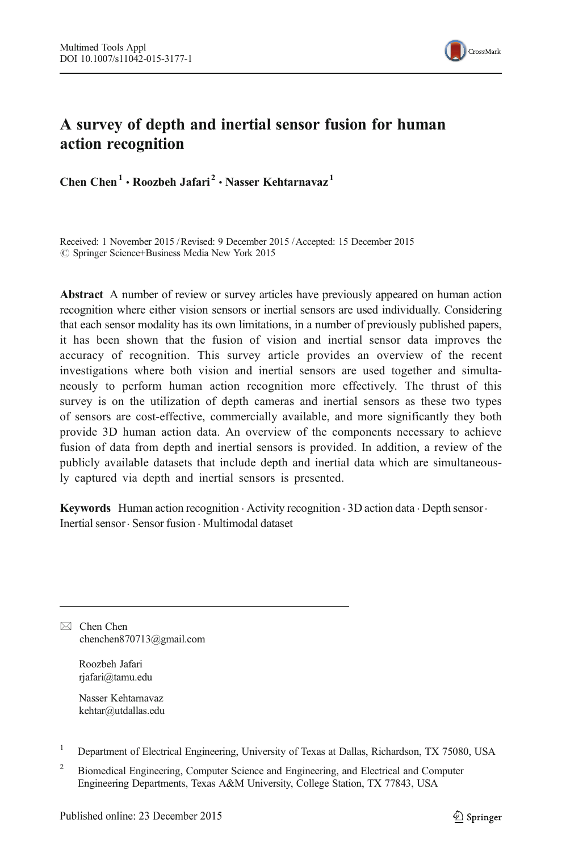

# A survey of depth and inertial sensor fusion for human action recognition

Chen Chen<sup>1</sup> • Roozbeh Jafari<sup>2</sup> • Nasser Kehtarnavaz<sup>1</sup>

Received: 1 November 2015 /Revised: 9 December 2015 /Accepted: 15 December 2015  $\circledcirc$  Springer Science+Business Media New York 2015

Abstract A number of review or survey articles have previously appeared on human action recognition where either vision sensors or inertial sensors are used individually. Considering that each sensor modality has its own limitations, in a number of previously published papers, it has been shown that the fusion of vision and inertial sensor data improves the accuracy of recognition. This survey article provides an overview of the recent investigations where both vision and inertial sensors are used together and simultaneously to perform human action recognition more effectively. The thrust of this survey is on the utilization of depth cameras and inertial sensors as these two types of sensors are cost-effective, commercially available, and more significantly they both provide 3D human action data. An overview of the components necessary to achieve fusion of data from depth and inertial sensors is provided. In addition, a review of the publicly available datasets that include depth and inertial data which are simultaneously captured via depth and inertial sensors is presented.

Keywords Human action recognition · Activity recognition · 3D action data · Depth sensor · Inertial sensor. Sensor fusion . Multimodal dataset

 $\boxtimes$  Chen Chen chenchen870713@gmail.com

> Roozbeh Jafari rjafari@tamu.edu

Nasser Kehtarnavaz kehtar@utdallas.edu

<sup>1</sup> Department of Electrical Engineering, University of Texas at Dallas, Richardson, TX 75080, USA

<sup>2</sup> Biomedical Engineering, Computer Science and Engineering, and Electrical and Computer Engineering Departments, Texas A&M University, College Station, TX 77843, USA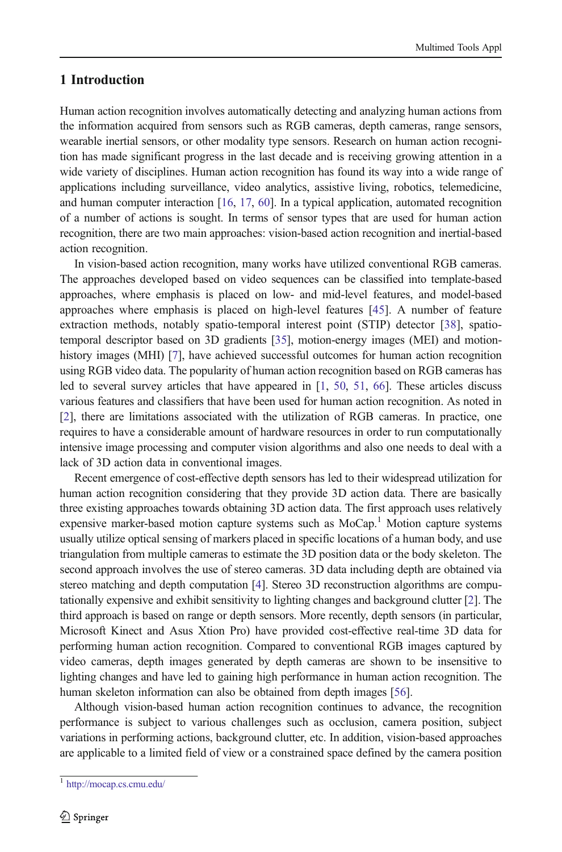### 1 Introduction

Human action recognition involves automatically detecting and analyzing human actions from the information acquired from sensors such as RGB cameras, depth cameras, range sensors, wearable inertial sensors, or other modality type sensors. Research on human action recognition has made significant progress in the last decade and is receiving growing attention in a wide variety of disciplines. Human action recognition has found its way into a wide range of applications including surveillance, video analytics, assistive living, robotics, telemedicine, and human computer interaction [\[16](#page-17-0), [17,](#page-17-0) [60](#page-18-0)]. In a typical application, automated recognition of a number of actions is sought. In terms of sensor types that are used for human action recognition, there are two main approaches: vision-based action recognition and inertial-based action recognition.

In vision-based action recognition, many works have utilized conventional RGB cameras. The approaches developed based on video sequences can be classified into template-based approaches, where emphasis is placed on low- and mid-level features, and model-based approaches where emphasis is placed on high-level features [[45\]](#page-18-0). A number of feature extraction methods, notably spatio-temporal interest point (STIP) detector [[38](#page-17-0)], spatiotemporal descriptor based on 3D gradients [\[35](#page-17-0)], motion-energy images (MEI) and motionhistory images (MHI) [[7](#page-16-0)], have achieved successful outcomes for human action recognition using RGB video data. The popularity of human action recognition based on RGB cameras has led to several survey articles that have appeared in [\[1,](#page-16-0) [50](#page-18-0), [51,](#page-18-0) [66](#page-18-0)]. These articles discuss various features and classifiers that have been used for human action recognition. As noted in [[2](#page-16-0)], there are limitations associated with the utilization of RGB cameras. In practice, one requires to have a considerable amount of hardware resources in order to run computationally intensive image processing and computer vision algorithms and also one needs to deal with a lack of 3D action data in conventional images.

Recent emergence of cost-effective depth sensors has led to their widespread utilization for human action recognition considering that they provide 3D action data. There are basically three existing approaches towards obtaining 3D action data. The first approach uses relatively expensive marker-based motion capture systems such as  $MoCap<sup>1</sup>$  Motion capture systems usually utilize optical sensing of markers placed in specific locations of a human body, and use triangulation from multiple cameras to estimate the 3D position data or the body skeleton. The second approach involves the use of stereo cameras. 3D data including depth are obtained via stereo matching and depth computation [\[4\]](#page-16-0). Stereo 3D reconstruction algorithms are computationally expensive and exhibit sensitivity to lighting changes and background clutter [\[2\]](#page-16-0). The third approach is based on range or depth sensors. More recently, depth sensors (in particular, Microsoft Kinect and Asus Xtion Pro) have provided cost-effective real-time 3D data for performing human action recognition. Compared to conventional RGB images captured by video cameras, depth images generated by depth cameras are shown to be insensitive to lighting changes and have led to gaining high performance in human action recognition. The human skeleton information can also be obtained from depth images [\[56\]](#page-18-0).

Although vision-based human action recognition continues to advance, the recognition performance is subject to various challenges such as occlusion, camera position, subject variations in performing actions, background clutter, etc. In addition, vision-based approaches are applicable to a limited field of view or a constrained space defined by the camera position

<sup>1</sup> <http://mocap.cs.cmu.edu/>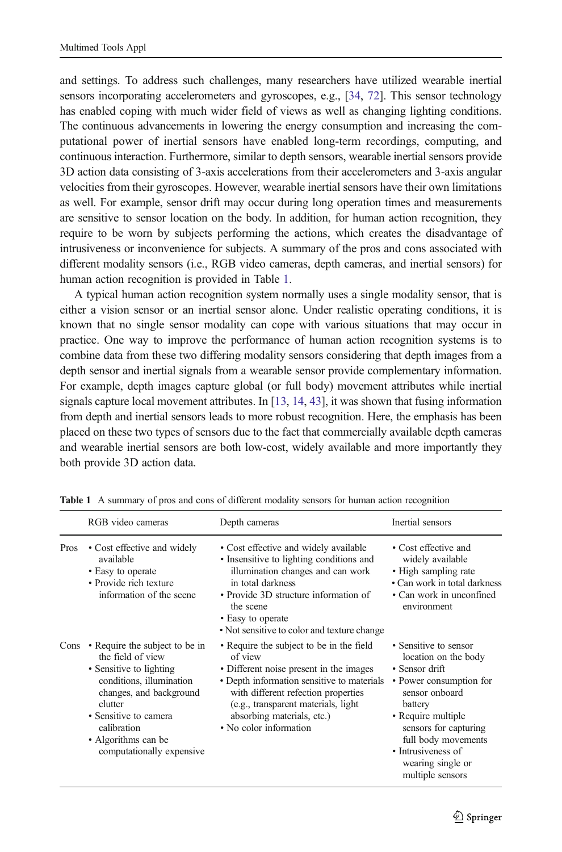and settings. To address such challenges, many researchers have utilized wearable inertial sensors incorporating accelerometers and gyroscopes, e.g., [[34,](#page-17-0) [72\]](#page-19-0). This sensor technology has enabled coping with much wider field of views as well as changing lighting conditions. The continuous advancements in lowering the energy consumption and increasing the computational power of inertial sensors have enabled long-term recordings, computing, and continuous interaction. Furthermore, similar to depth sensors, wearable inertial sensors provide 3D action data consisting of 3-axis accelerations from their accelerometers and 3-axis angular velocities from their gyroscopes. However, wearable inertial sensors have their own limitations as well. For example, sensor drift may occur during long operation times and measurements are sensitive to sensor location on the body. In addition, for human action recognition, they require to be worn by subjects performing the actions, which creates the disadvantage of intrusiveness or inconvenience for subjects. A summary of the pros and cons associated with different modality sensors (i.e., RGB video cameras, depth cameras, and inertial sensors) for human action recognition is provided in Table 1.

A typical human action recognition system normally uses a single modality sensor, that is either a vision sensor or an inertial sensor alone. Under realistic operating conditions, it is known that no single sensor modality can cope with various situations that may occur in practice. One way to improve the performance of human action recognition systems is to combine data from these two differing modality sensors considering that depth images from a depth sensor and inertial signals from a wearable sensor provide complementary information. For example, depth images capture global (or full body) movement attributes while inertial signals capture local movement attributes. In [[13](#page-16-0), [14,](#page-16-0) [43](#page-18-0)], it was shown that fusing information from depth and inertial sensors leads to more robust recognition. Here, the emphasis has been placed on these two types of sensors due to the fact that commercially available depth cameras and wearable inertial sensors are both low-cost, widely available and more importantly they both provide 3D action data.

|      | RGB video cameras                                                                                                                                                                                                                            | Depth cameras                                                                                                                                                                                                                                                                       | Inertial sensors                                                                                                                                                                                                                                             |
|------|----------------------------------------------------------------------------------------------------------------------------------------------------------------------------------------------------------------------------------------------|-------------------------------------------------------------------------------------------------------------------------------------------------------------------------------------------------------------------------------------------------------------------------------------|--------------------------------------------------------------------------------------------------------------------------------------------------------------------------------------------------------------------------------------------------------------|
| Pros | • Cost effective and widely<br>available<br>• Easy to operate<br>• Provide rich texture<br>information of the scene                                                                                                                          | • Cost effective and widely available<br>• Insensitive to lighting conditions and<br>illumination changes and can work<br>in total darkness<br>• Provide 3D structure information of<br>the scene<br>• Easy to operate<br>• Not sensitive to color and texture change               | • Cost effective and<br>widely available<br>• High sampling rate<br>• Can work in total darkness<br>• Can work in unconfined<br>environment                                                                                                                  |
| Cons | • Require the subject to be in<br>the field of view<br>• Sensitive to lighting<br>conditions, illumination<br>changes, and background<br>clutter<br>• Sensitive to camera<br>calibration<br>• Algorithms can be<br>computationally expensive | • Require the subject to be in the field<br>of view<br>• Different noise present in the images<br>• Depth information sensitive to materials<br>with different refection properties<br>(e.g., transparent materials, light)<br>absorbing materials, etc.)<br>• No color information | • Sensitive to sensor<br>location on the body<br>• Sensor drift<br>• Power consumption for<br>sensor onboard<br>battery<br>• Require multiple<br>sensors for capturing<br>full body movements<br>• Intrusiveness of<br>wearing single or<br>multiple sensors |

Table 1 A summary of pros and cons of different modality sensors for human action recognition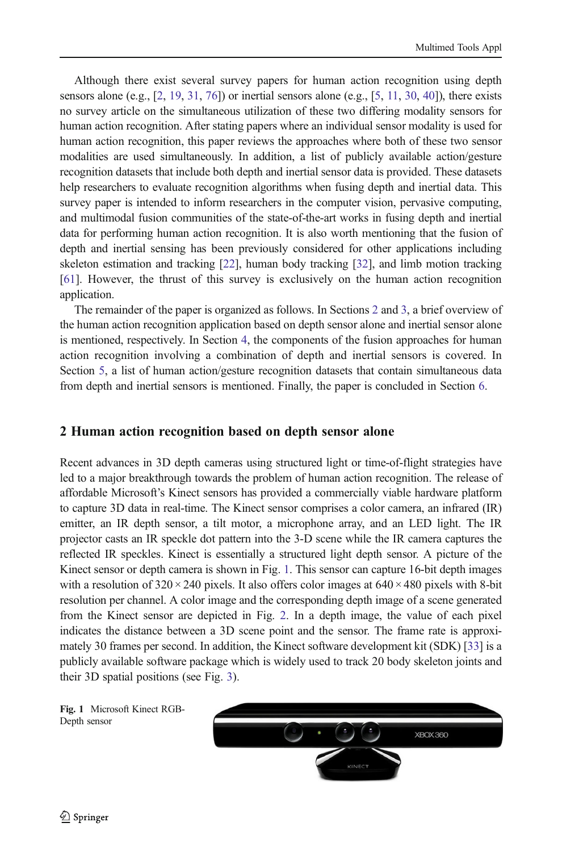Although there exist several survey papers for human action recognition using depth sensors alone (e.g.,  $[2, 19, 31, 76]$  $[2, 19, 31, 76]$  $[2, 19, 31, 76]$  $[2, 19, 31, 76]$  $[2, 19, 31, 76]$  $[2, 19, 31, 76]$  $[2, 19, 31, 76]$  $[2, 19, 31, 76]$  $[2, 19, 31, 76]$ ) or inertial sensors alone (e.g.,  $[5, 11, 30, 40]$  $[5, 11, 30, 40]$  $[5, 11, 30, 40]$  $[5, 11, 30, 40]$  $[5, 11, 30, 40]$  $[5, 11, 30, 40]$  $[5, 11, 30, 40]$  $[5, 11, 30, 40]$ ), there exists no survey article on the simultaneous utilization of these two differing modality sensors for human action recognition. After stating papers where an individual sensor modality is used for human action recognition, this paper reviews the approaches where both of these two sensor modalities are used simultaneously. In addition, a list of publicly available action/gesture recognition datasets that include both depth and inertial sensor data is provided. These datasets help researchers to evaluate recognition algorithms when fusing depth and inertial data. This survey paper is intended to inform researchers in the computer vision, pervasive computing, and multimodal fusion communities of the state-of-the-art works in fusing depth and inertial data for performing human action recognition. It is also worth mentioning that the fusion of depth and inertial sensing has been previously considered for other applications including skeleton estimation and tracking [[22\]](#page-17-0), human body tracking [[32](#page-17-0)], and limb motion tracking [[61](#page-18-0)]. However, the thrust of this survey is exclusively on the human action recognition application.

The remainder of the paper is organized as follows. In Sections 2 and [3](#page-4-0), a brief overview of the human action recognition application based on depth sensor alone and inertial sensor alone is mentioned, respectively. In Section [4](#page-7-0), the components of the fusion approaches for human action recognition involving a combination of depth and inertial sensors is covered. In Section [5,](#page-11-0) a list of human action/gesture recognition datasets that contain simultaneous data from depth and inertial sensors is mentioned. Finally, the paper is concluded in Section [6](#page-15-0).

### 2 Human action recognition based on depth sensor alone

Recent advances in 3D depth cameras using structured light or time-of-flight strategies have led to a major breakthrough towards the problem of human action recognition. The release of affordable Microsoft's Kinect sensors has provided a commercially viable hardware platform to capture 3D data in real-time. The Kinect sensor comprises a color camera, an infrared (IR) emitter, an IR depth sensor, a tilt motor, a microphone array, and an LED light. The IR projector casts an IR speckle dot pattern into the 3-D scene while the IR camera captures the reflected IR speckles. Kinect is essentially a structured light depth sensor. A picture of the Kinect sensor or depth camera is shown in Fig. 1. This sensor can capture 16-bit depth images with a resolution of  $320 \times 240$  pixels. It also offers color images at  $640 \times 480$  pixels with 8-bit resolution per channel. A color image and the corresponding depth image of a scene generated from the Kinect sensor are depicted in Fig. [2.](#page-4-0) In a depth image, the value of each pixel indicates the distance between a 3D scene point and the sensor. The frame rate is approximately 30 frames per second. In addition, the Kinect software development kit (SDK) [[33\]](#page-17-0) is a publicly available software package which is widely used to track 20 body skeleton joints and their 3D spatial positions (see Fig. [3](#page-4-0)).

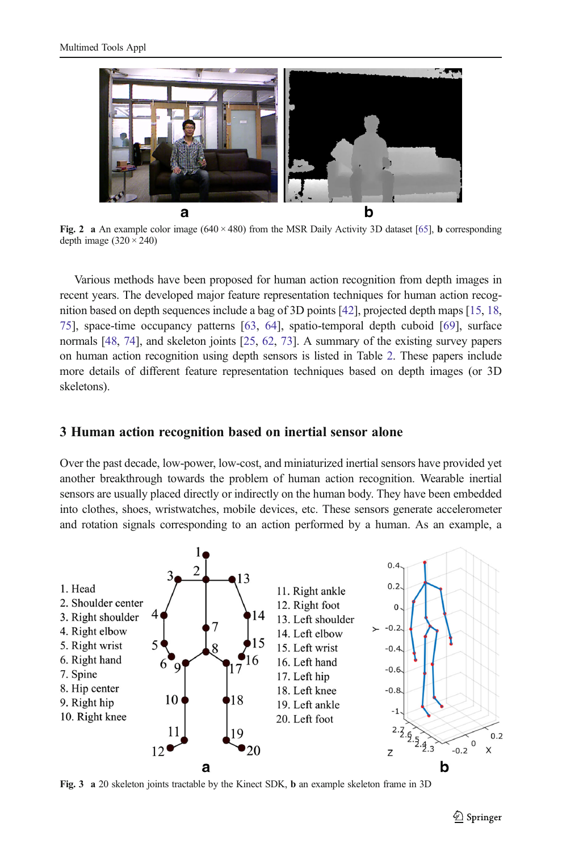<span id="page-4-0"></span>

Fig. 2 a An example color image  $(640 \times 480)$  from the MSR Daily Activity 3D dataset [\[65](#page-18-0)], **b** corresponding depth image  $(320 \times 240)$ 

Various methods have been proposed for human action recognition from depth images in recent years. The developed major feature representation techniques for human action recognition based on depth sequences include a bag of 3D points [[42\]](#page-18-0), projected depth maps [\[15,](#page-17-0) [18](#page-17-0), [75](#page-19-0)], space-time occupancy patterns [\[63,](#page-18-0) [64\]](#page-18-0), spatio-temporal depth cuboid [[69](#page-19-0)], surface normals [\[48,](#page-18-0) [74](#page-19-0)], and skeleton joints [[25,](#page-17-0) [62](#page-18-0), [73\]](#page-19-0). A summary of the existing survey papers on human action recognition using depth sensors is listed in Table [2](#page-5-0). These papers include more details of different feature representation techniques based on depth images (or 3D skeletons).

#### 3 Human action recognition based on inertial sensor alone

Over the past decade, low-power, low-cost, and miniaturized inertial sensors have provided yet another breakthrough towards the problem of human action recognition. Wearable inertial sensors are usually placed directly or indirectly on the human body. They have been embedded into clothes, shoes, wristwatches, mobile devices, etc. These sensors generate accelerometer and rotation signals corresponding to an action performed by a human. As an example, a



Fig. 3 a 20 skeleton joints tractable by the Kinect SDK, b an example skeleton frame in 3D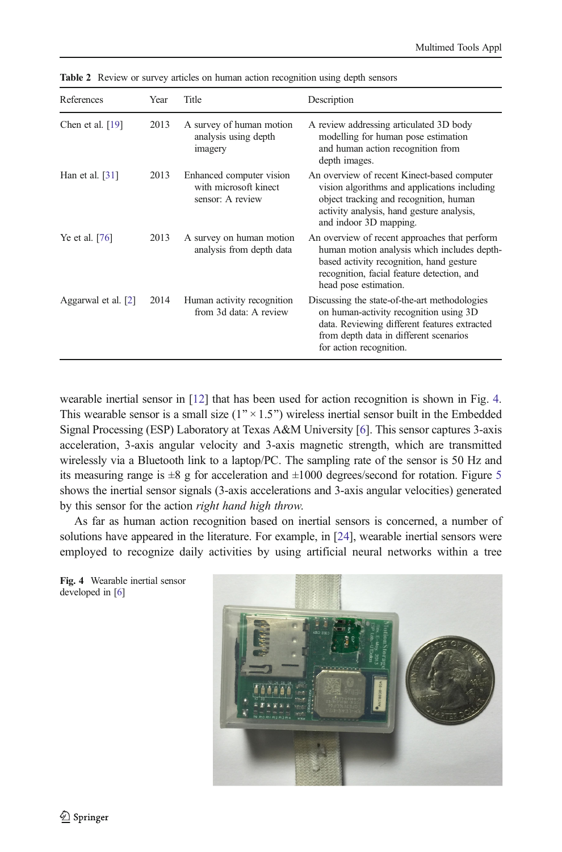| References          | Year | Title                                                                 | Description                                                                                                                                                                                                     |  |  |
|---------------------|------|-----------------------------------------------------------------------|-----------------------------------------------------------------------------------------------------------------------------------------------------------------------------------------------------------------|--|--|
| Chen et al. $[19]$  | 2013 | A survey of human motion<br>analysis using depth<br>imagery           | A review addressing articulated 3D body<br>modelling for human pose estimation<br>and human action recognition from<br>depth images.                                                                            |  |  |
| Han et al. $[31]$   | 2013 | Enhanced computer vision<br>with microsoft kinect<br>sensor: A review | An overview of recent Kinect-based computer<br>vision algorithms and applications including<br>object tracking and recognition, human<br>activity analysis, hand gesture analysis,<br>and indoor 3D mapping.    |  |  |
| Ye et al. [76]      | 2013 | A survey on human motion<br>analysis from depth data                  | An overview of recent approaches that perform<br>human motion analysis which includes depth-<br>based activity recognition, hand gesture<br>recognition, facial feature detection, and<br>head pose estimation. |  |  |
| Aggarwal et al. [2] | 2014 | Human activity recognition<br>from 3d data: A review                  | Discussing the state-of-the-art methodologies<br>on human-activity recognition using 3D<br>data. Reviewing different features extracted<br>from depth data in different scenarios<br>for action recognition.    |  |  |

<span id="page-5-0"></span>Table 2 Review or survey articles on human action recognition using depth sensors

wearable inertial sensor in [[12](#page-16-0)] that has been used for action recognition is shown in Fig. 4. This wearable sensor is a small size  $(1'' \times 1.5'')$  wireless inertial sensor built in the Embedded Signal Processing (ESP) Laboratory at Texas A&M University [\[6](#page-16-0)]. This sensor captures 3-axis acceleration, 3-axis angular velocity and 3-axis magnetic strength, which are transmitted wirelessly via a Bluetooth link to a laptop/PC. The sampling rate of the sensor is 50 Hz and its measuring range is  $\pm 8$  g for acceleration and  $\pm 1000$  degrees/second for rotation. Figure [5](#page-6-0) shows the inertial sensor signals (3-axis accelerations and 3-axis angular velocities) generated by this sensor for the action right hand high throw.

As far as human action recognition based on inertial sensors is concerned, a number of solutions have appeared in the literature. For example, in [\[24](#page-17-0)], wearable inertial sensors were employed to recognize daily activities by using artificial neural networks within a tree

Fig. 4 Wearable inertial sensor developed in [[6](#page-16-0)]

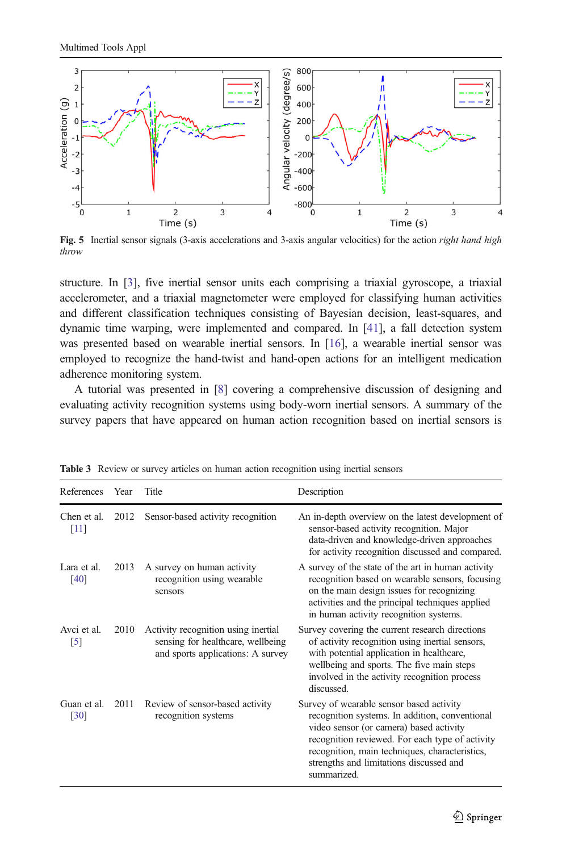<span id="page-6-0"></span>

Fig. 5 Inertial sensor signals (3-axis accelerations and 3-axis angular velocities) for the action right hand high throw

structure. In [[3](#page-16-0)], five inertial sensor units each comprising a triaxial gyroscope, a triaxial accelerometer, and a triaxial magnetometer were employed for classifying human activities and different classification techniques consisting of Bayesian decision, least-squares, and dynamic time warping, were implemented and compared. In [\[41](#page-18-0)], a fall detection system was presented based on wearable inertial sensors. In [\[16\]](#page-17-0), a wearable inertial sensor was employed to recognize the hand-twist and hand-open actions for an intelligent medication adherence monitoring system.

A tutorial was presented in [\[8](#page-16-0)] covering a comprehensive discussion of designing and evaluating activity recognition systems using body-worn inertial sensors. A summary of the survey papers that have appeared on human action recognition based on inertial sensors is

| References              | Year | Title                                                                                                         | Description                                                                                                                                                                                                                                                                                          |
|-------------------------|------|---------------------------------------------------------------------------------------------------------------|------------------------------------------------------------------------------------------------------------------------------------------------------------------------------------------------------------------------------------------------------------------------------------------------------|
| Chen et al.<br>$[11]$   | 2012 | Sensor-based activity recognition                                                                             | An in-depth overview on the latest development of<br>sensor-based activity recognition. Major<br>data-driven and knowledge-driven approaches<br>for activity recognition discussed and compared.                                                                                                     |
| Lara et al.<br>[40]     | 2013 | A survey on human activity<br>recognition using wearable<br>sensors                                           | A survey of the state of the art in human activity<br>recognition based on wearable sensors, focusing<br>on the main design issues for recognizing<br>activities and the principal techniques applied<br>in human activity recognition systems.                                                      |
| Avci et al.<br>$^{[5]}$ | 2010 | Activity recognition using inertial<br>sensing for healthcare, wellbeing<br>and sports applications: A survey | Survey covering the current research directions<br>of activity recognition using inertial sensors,<br>with potential application in healthcare,<br>wellbeing and sports. The five main steps<br>involved in the activity recognition process<br>discussed                                            |
| Guan et al.<br>[30]     | 2011 | Review of sensor-based activity<br>recognition systems                                                        | Survey of wearable sensor based activity<br>recognition systems. In addition, conventional<br>video sensor (or camera) based activity<br>recognition reviewed. For each type of activity<br>recognition, main techniques, characteristics,<br>strengths and limitations discussed and<br>summarized. |

Table 3 Review or survey articles on human action recognition using inertial sensors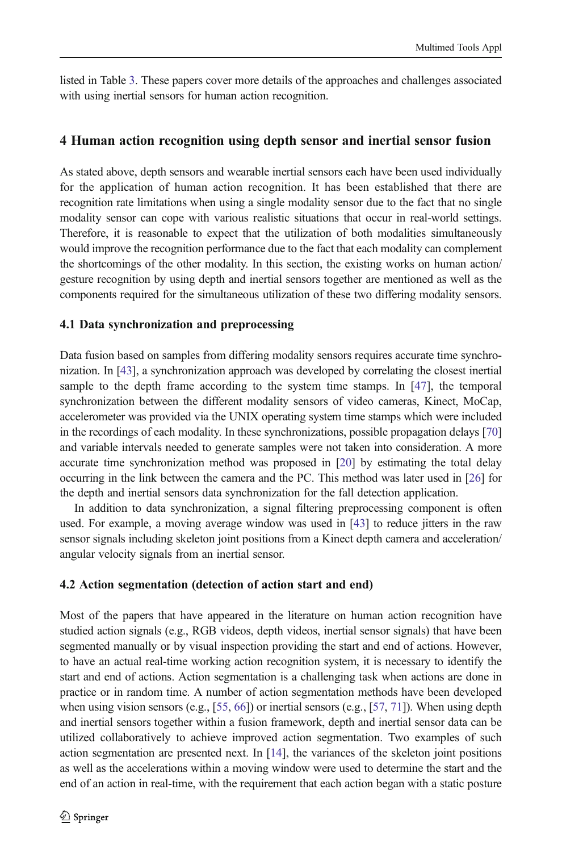<span id="page-7-0"></span>listed in Table [3.](#page-6-0) These papers cover more details of the approaches and challenges associated with using inertial sensors for human action recognition.

#### 4 Human action recognition using depth sensor and inertial sensor fusion

As stated above, depth sensors and wearable inertial sensors each have been used individually for the application of human action recognition. It has been established that there are recognition rate limitations when using a single modality sensor due to the fact that no single modality sensor can cope with various realistic situations that occur in real-world settings. Therefore, it is reasonable to expect that the utilization of both modalities simultaneously would improve the recognition performance due to the fact that each modality can complement the shortcomings of the other modality. In this section, the existing works on human action/ gesture recognition by using depth and inertial sensors together are mentioned as well as the components required for the simultaneous utilization of these two differing modality sensors.

#### 4.1 Data synchronization and preprocessing

Data fusion based on samples from differing modality sensors requires accurate time synchronization. In [\[43](#page-18-0)], a synchronization approach was developed by correlating the closest inertial sample to the depth frame according to the system time stamps. In [\[47\]](#page-18-0), the temporal synchronization between the different modality sensors of video cameras, Kinect, MoCap, accelerometer was provided via the UNIX operating system time stamps which were included in the recordings of each modality. In these synchronizations, possible propagation delays [\[70\]](#page-19-0) and variable intervals needed to generate samples were not taken into consideration. A more accurate time synchronization method was proposed in [[20\]](#page-17-0) by estimating the total delay occurring in the link between the camera and the PC. This method was later used in [[26](#page-17-0)] for the depth and inertial sensors data synchronization for the fall detection application.

In addition to data synchronization, a signal filtering preprocessing component is often used. For example, a moving average window was used in [[43\]](#page-18-0) to reduce jitters in the raw sensor signals including skeleton joint positions from a Kinect depth camera and acceleration/ angular velocity signals from an inertial sensor.

#### 4.2 Action segmentation (detection of action start and end)

Most of the papers that have appeared in the literature on human action recognition have studied action signals (e.g., RGB videos, depth videos, inertial sensor signals) that have been segmented manually or by visual inspection providing the start and end of actions. However, to have an actual real-time working action recognition system, it is necessary to identify the start and end of actions. Action segmentation is a challenging task when actions are done in practice or in random time. A number of action segmentation methods have been developed when using vision sensors (e.g., [\[55,](#page-18-0) [66](#page-18-0)]) or inertial sensors (e.g., [[57,](#page-18-0) [71\]](#page-19-0)). When using depth and inertial sensors together within a fusion framework, depth and inertial sensor data can be utilized collaboratively to achieve improved action segmentation. Two examples of such action segmentation are presented next. In [\[14\]](#page-16-0), the variances of the skeleton joint positions as well as the accelerations within a moving window were used to determine the start and the end of an action in real-time, with the requirement that each action began with a static posture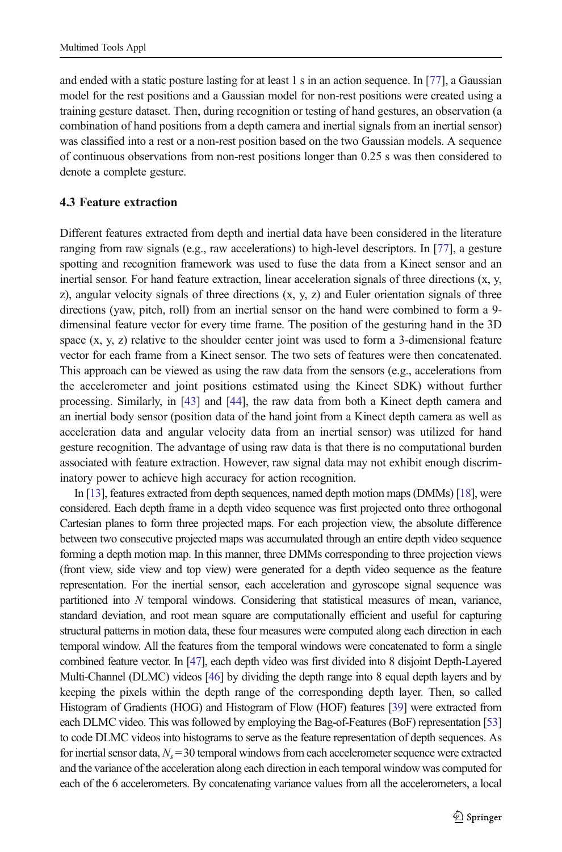and ended with a static posture lasting for at least 1 s in an action sequence. In [\[77](#page-19-0)], a Gaussian model for the rest positions and a Gaussian model for non-rest positions were created using a training gesture dataset. Then, during recognition or testing of hand gestures, an observation (a combination of hand positions from a depth camera and inertial signals from an inertial sensor) was classified into a rest or a non-rest position based on the two Gaussian models. A sequence of continuous observations from non-rest positions longer than 0.25 s was then considered to denote a complete gesture.

#### 4.3 Feature extraction

Different features extracted from depth and inertial data have been considered in the literature ranging from raw signals (e.g., raw accelerations) to high-level descriptors. In [\[77](#page-19-0)], a gesture spotting and recognition framework was used to fuse the data from a Kinect sensor and an inertial sensor. For hand feature extraction, linear acceleration signals of three directions (x, y, z), angular velocity signals of three directions  $(x, y, z)$  and Euler orientation signals of three directions (yaw, pitch, roll) from an inertial sensor on the hand were combined to form a 9 dimensinal feature vector for every time frame. The position of the gesturing hand in the 3D space  $(x, y, z)$  relative to the shoulder center joint was used to form a 3-dimensional feature vector for each frame from a Kinect sensor. The two sets of features were then concatenated. This approach can be viewed as using the raw data from the sensors (e.g., accelerations from the accelerometer and joint positions estimated using the Kinect SDK) without further processing. Similarly, in [\[43\]](#page-18-0) and [\[44](#page-18-0)], the raw data from both a Kinect depth camera and an inertial body sensor (position data of the hand joint from a Kinect depth camera as well as acceleration data and angular velocity data from an inertial sensor) was utilized for hand gesture recognition. The advantage of using raw data is that there is no computational burden associated with feature extraction. However, raw signal data may not exhibit enough discriminatory power to achieve high accuracy for action recognition.

In [\[13](#page-16-0)], features extracted from depth sequences, named depth motion maps (DMMs) [[18](#page-17-0)], were considered. Each depth frame in a depth video sequence was first projected onto three orthogonal Cartesian planes to form three projected maps. For each projection view, the absolute difference between two consecutive projected maps was accumulated through an entire depth video sequence forming a depth motion map. In this manner, three DMMs corresponding to three projection views (front view, side view and top view) were generated for a depth video sequence as the feature representation. For the inertial sensor, each acceleration and gyroscope signal sequence was partitioned into N temporal windows. Considering that statistical measures of mean, variance, standard deviation, and root mean square are computationally efficient and useful for capturing structural patterns in motion data, these four measures were computed along each direction in each temporal window. All the features from the temporal windows were concatenated to form a single combined feature vector. In [[47](#page-18-0)], each depth video was first divided into 8 disjoint Depth-Layered Multi-Channel (DLMC) videos [\[46](#page-18-0)] by dividing the depth range into 8 equal depth layers and by keeping the pixels within the depth range of the corresponding depth layer. Then, so called Histogram of Gradients (HOG) and Histogram of Flow (HOF) features [[39](#page-17-0)] were extracted from each DLMC video. This was followed by employing the Bag-of-Features (BoF) representation [\[53\]](#page-18-0) to code DLMC videos into histograms to serve as the feature representation of depth sequences. As for inertial sensor data,  $N_s$  = 30 temporal windows from each accelerometer sequence were extracted and the variance of the acceleration along each direction in each temporal window was computed for each of the 6 accelerometers. By concatenating variance values from all the accelerometers, a local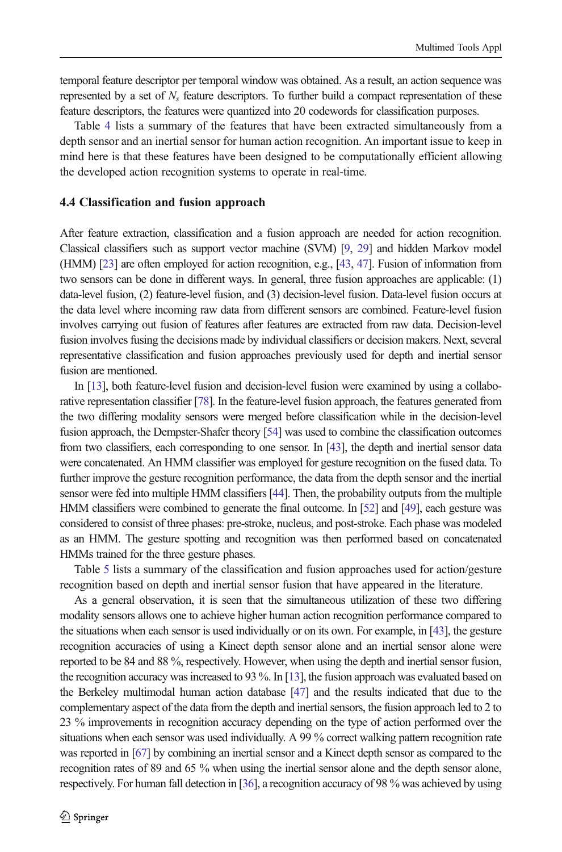temporal feature descriptor per temporal window was obtained. As a result, an action sequence was represented by a set of  $N<sub>s</sub>$  feature descriptors. To further build a compact representation of these feature descriptors, the features were quantized into 20 codewords for classification purposes.

Table [4](#page-10-0) lists a summary of the features that have been extracted simultaneously from a depth sensor and an inertial sensor for human action recognition. An important issue to keep in mind here is that these features have been designed to be computationally efficient allowing the developed action recognition systems to operate in real-time.

#### 4.4 Classification and fusion approach

After feature extraction, classification and a fusion approach are needed for action recognition. Classical classifiers such as support vector machine (SVM) [\[9,](#page-16-0) [29](#page-17-0)] and hidden Markov model (HMM) [\[23](#page-17-0)] are often employed for action recognition, e.g., [[43,](#page-18-0) [47](#page-18-0)]. Fusion of information from two sensors can be done in different ways. In general, three fusion approaches are applicable: (1) data-level fusion, (2) feature-level fusion, and (3) decision-level fusion. Data-level fusion occurs at the data level where incoming raw data from different sensors are combined. Feature-level fusion involves carrying out fusion of features after features are extracted from raw data. Decision-level fusion involves fusing the decisions made by individual classifiers or decision makers. Next, several representative classification and fusion approaches previously used for depth and inertial sensor fusion are mentioned.

In [\[13\]](#page-16-0), both feature-level fusion and decision-level fusion were examined by using a collaborative representation classifier [[78](#page-19-0)]. In the feature-level fusion approach, the features generated from the two differing modality sensors were merged before classification while in the decision-level fusion approach, the Dempster-Shafer theory [[54\]](#page-18-0) was used to combine the classification outcomes from two classifiers, each corresponding to one sensor. In [\[43\]](#page-18-0), the depth and inertial sensor data were concatenated. An HMM classifier was employed for gesture recognition on the fused data. To further improve the gesture recognition performance, the data from the depth sensor and the inertial sensor were fed into multiple HMM classifiers [\[44](#page-18-0)]. Then, the probability outputs from the multiple HMM classifiers were combined to generate the final outcome. In [\[52](#page-18-0)] and [[49](#page-18-0)], each gesture was considered to consist of three phases: pre-stroke, nucleus, and post-stroke. Each phase was modeled as an HMM. The gesture spotting and recognition was then performed based on concatenated HMMs trained for the three gesture phases.

Table [5](#page-12-0) lists a summary of the classification and fusion approaches used for action/gesture recognition based on depth and inertial sensor fusion that have appeared in the literature.

As a general observation, it is seen that the simultaneous utilization of these two differing modality sensors allows one to achieve higher human action recognition performance compared to the situations when each sensor is used individually or on its own. For example, in [[43\]](#page-18-0), the gesture recognition accuracies of using a Kinect depth sensor alone and an inertial sensor alone were reported to be 84 and 88 %, respectively. However, when using the depth and inertial sensor fusion, the recognition accuracy was increased to 93 %. In [[13\]](#page-16-0), the fusion approach was evaluated based on the Berkeley multimodal human action database [\[47\]](#page-18-0) and the results indicated that due to the complementary aspect of the data from the depth and inertial sensors, the fusion approach led to 2 to 23 % improvements in recognition accuracy depending on the type of action performed over the situations when each sensor was used individually. A 99 % correct walking pattern recognition rate was reported in [\[67\]](#page-19-0) by combining an inertial sensor and a Kinect depth sensor as compared to the recognition rates of 89 and 65 % when using the inertial sensor alone and the depth sensor alone, respectively. For human fall detection in [[36](#page-17-0)], a recognition accuracy of 98 % was achieved by using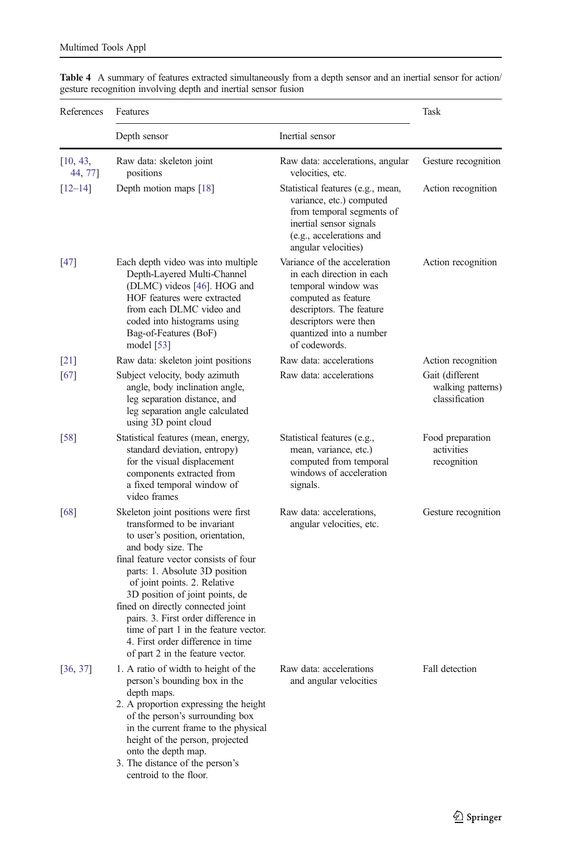| References          | Features                                                                                                                                                                                                                                                                                                                                                                                                                                                                 | Task                                                                                                                                                                                                     |                                                        |  |
|---------------------|--------------------------------------------------------------------------------------------------------------------------------------------------------------------------------------------------------------------------------------------------------------------------------------------------------------------------------------------------------------------------------------------------------------------------------------------------------------------------|----------------------------------------------------------------------------------------------------------------------------------------------------------------------------------------------------------|--------------------------------------------------------|--|
|                     | Depth sensor                                                                                                                                                                                                                                                                                                                                                                                                                                                             |                                                                                                                                                                                                          |                                                        |  |
| [10, 43,<br>44, 77] | Raw data: skeleton joint<br>positions                                                                                                                                                                                                                                                                                                                                                                                                                                    | Raw data: accelerations, angular<br>velocities, etc.                                                                                                                                                     | Gesture recognition                                    |  |
| $[12 - 14]$         | Depth motion maps [18]                                                                                                                                                                                                                                                                                                                                                                                                                                                   | Statistical features (e.g., mean,<br>variance, etc.) computed<br>from temporal segments of<br>inertial sensor signals<br>(e.g., accelerations and<br>angular velocities)                                 | Action recognition                                     |  |
| $[47]$              | Each depth video was into multiple<br>Depth-Layered Multi-Channel<br>(DLMC) videos [46]. HOG and<br>HOF features were extracted<br>from each DLMC video and<br>coded into histograms using<br>Bag-of-Features (BoF)<br>model $[53]$                                                                                                                                                                                                                                      | Variance of the acceleration<br>in each direction in each<br>temporal window was<br>computed as feature<br>descriptors. The feature<br>descriptors were then<br>quantized into a number<br>of codewords. | Action recognition                                     |  |
| $\lceil 21 \rceil$  | Raw data: skeleton joint positions                                                                                                                                                                                                                                                                                                                                                                                                                                       | Raw data: accelerations                                                                                                                                                                                  | Action recognition                                     |  |
| [67]                | Subject velocity, body azimuth<br>angle, body inclination angle,<br>leg separation distance, and<br>leg separation angle calculated<br>using 3D point cloud                                                                                                                                                                                                                                                                                                              | Raw data: accelerations                                                                                                                                                                                  | Gait (different<br>walking patterns)<br>classification |  |
| $[58]$              | Statistical features (mean, energy,<br>standard deviation, entropy)<br>for the visual displacement<br>components extracted from<br>a fixed temporal window of<br>video frames                                                                                                                                                                                                                                                                                            | Statistical features (e.g.,<br>mean, variance, etc.)<br>computed from temporal<br>windows of acceleration<br>signals.                                                                                    | Food preparation<br>activities<br>recognition          |  |
| [68]                | Skeleton joint positions were first<br>transformed to be invariant<br>to user's position, orientation,<br>and body size. The<br>final feature vector consists of four<br>parts: 1. Absolute 3D position<br>of joint points. 2. Relative<br>3D position of joint points, de<br>fined on directly connected joint<br>pairs. 3. First order difference in<br>time of part 1 in the feature vector.<br>4. First order difference in time<br>of part 2 in the feature vector. | Raw data: accelerations,<br>angular velocities, etc.                                                                                                                                                     | Gesture recognition                                    |  |
| [36, 37]            | 1. A ratio of width to height of the<br>person's bounding box in the<br>depth maps.<br>2. A proportion expressing the height<br>of the person's surrounding box<br>in the current frame to the physical<br>height of the person, projected<br>onto the depth map.<br>3. The distance of the person's<br>centroid to the floor.                                                                                                                                           | Raw data: accelerations<br>and angular velocities                                                                                                                                                        | Fall detection                                         |  |

<span id="page-10-0"></span>Table 4 A summary of features extracted simultaneously from a depth sensor and an inertial sensor for action/ gesture recognition involving depth and inertial sensor fusion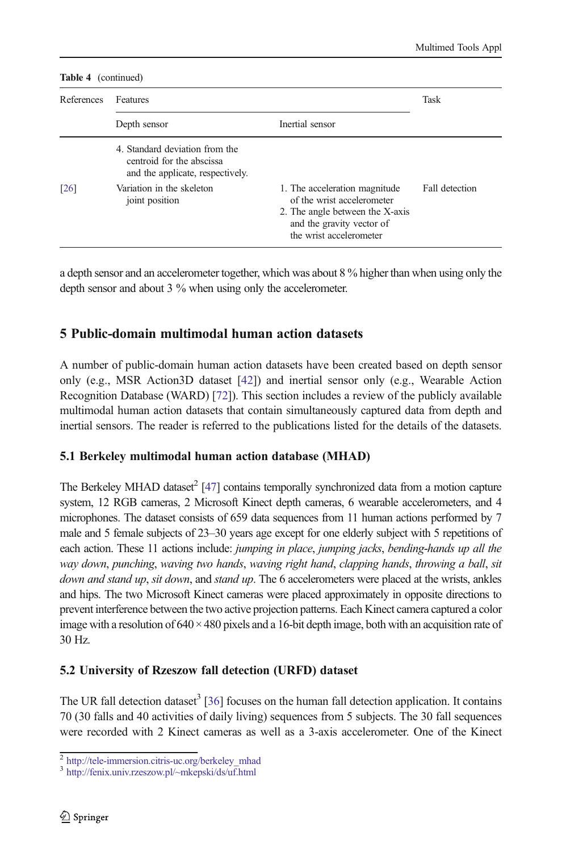<span id="page-11-0"></span>

| References         | Features                                                                                        | Task                                                                                                                                                   |                |
|--------------------|-------------------------------------------------------------------------------------------------|--------------------------------------------------------------------------------------------------------------------------------------------------------|----------------|
|                    | Depth sensor                                                                                    |                                                                                                                                                        |                |
|                    | 4. Standard deviation from the<br>centroid for the abscissa<br>and the applicate, respectively. |                                                                                                                                                        |                |
| $\lceil 26 \rceil$ | Variation in the skeleton<br>joint position                                                     | 1. The acceleration magnitude<br>of the wrist accelerometer<br>2. The angle between the X-axis<br>and the gravity vector of<br>the wrist accelerometer | Fall detection |

a depth sensor and an accelerometer together, which was about 8 % higher than when using only the depth sensor and about 3 % when using only the accelerometer.

# 5 Public-domain multimodal human action datasets

A number of public-domain human action datasets have been created based on depth sensor only (e.g., MSR Action3D dataset [[42](#page-18-0)]) and inertial sensor only (e.g., Wearable Action Recognition Database (WARD) [\[72](#page-19-0)]). This section includes a review of the publicly available multimodal human action datasets that contain simultaneously captured data from depth and inertial sensors. The reader is referred to the publications listed for the details of the datasets.

# 5.1 Berkeley multimodal human action database (MHAD)

The Berkeley MHAD dataset $^{2}$  [\[47](#page-18-0)] contains temporally synchronized data from a motion capture system, 12 RGB cameras, 2 Microsoft Kinect depth cameras, 6 wearable accelerometers, and 4 microphones. The dataset consists of 659 data sequences from 11 human actions performed by 7 male and 5 female subjects of 23–30 years age except for one elderly subject with 5 repetitions of each action. These 11 actions include: *jumping in place, jumping jacks, bending-hands up all the* way down, punching, waving two hands, waving right hand, clapping hands, throwing a ball, sit down and stand up, sit down, and stand up. The 6 accelerometers were placed at the wrists, ankles and hips. The two Microsoft Kinect cameras were placed approximately in opposite directions to prevent interference between the two active projection patterns. Each Kinect camera captured a color image with a resolution of  $640 \times 480$  pixels and a 16-bit depth image, both with an acquisition rate of 30 Hz.

# 5.2 University of Rzeszow fall detection (URFD) dataset

The UR fall detection dataset<sup>3</sup> [[36\]](#page-17-0) focuses on the human fall detection application. It contains 70 (30 falls and 40 activities of daily living) sequences from 5 subjects. The 30 fall sequences were recorded with 2 Kinect cameras as well as a 3-axis accelerometer. One of the Kinect

<sup>&</sup>lt;sup>2</sup> [http://tele-immersion.citris-uc.org/berkeley\\_mhad](http://tele-immersion.citris-uc.org/berkeley_mhad)

<sup>3</sup> [http://fenix.univ.rzeszow.pl/~mkepski/ds/uf.html](http://fenix.univ.rzeszow.pl/%7Emkepski/ds/uf.html)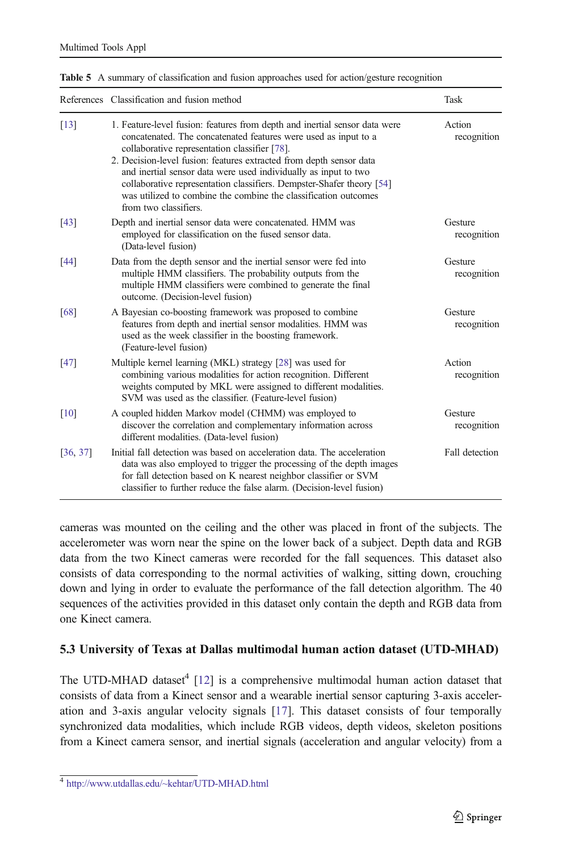|          | References Classification and fusion method                                                                                                                                                                                                                                                                                                                                                                                                                                                                   | Task                   |
|----------|---------------------------------------------------------------------------------------------------------------------------------------------------------------------------------------------------------------------------------------------------------------------------------------------------------------------------------------------------------------------------------------------------------------------------------------------------------------------------------------------------------------|------------------------|
| [13]     | 1. Feature-level fusion: features from depth and inertial sensor data were<br>concatenated. The concatenated features were used as input to a<br>collaborative representation classifier [78].<br>2. Decision-level fusion: features extracted from depth sensor data<br>and inertial sensor data were used individually as input to two<br>collaborative representation classifiers. Dempster-Shafer theory [54]<br>was utilized to combine the combine the classification outcomes<br>from two classifiers. | Action<br>recognition  |
| [43]     | Depth and inertial sensor data were concatenated. HMM was<br>employed for classification on the fused sensor data.<br>(Data-level fusion)                                                                                                                                                                                                                                                                                                                                                                     | Gesture<br>recognition |
| [44]     | Data from the depth sensor and the inertial sensor were fed into<br>multiple HMM classifiers. The probability outputs from the<br>multiple HMM classifiers were combined to generate the final<br>outcome. (Decision-level fusion)                                                                                                                                                                                                                                                                            | Gesture<br>recognition |
| [68]     | A Bayesian co-boosting framework was proposed to combine<br>features from depth and inertial sensor modalities. HMM was<br>used as the week classifier in the boosting framework.<br>(Feature-level fusion)                                                                                                                                                                                                                                                                                                   | Gesture<br>recognition |
| [47]     | Multiple kernel learning (MKL) strategy [28] was used for<br>combining various modalities for action recognition. Different<br>weights computed by MKL were assigned to different modalities.<br>SVM was used as the classifier. (Feature-level fusion)                                                                                                                                                                                                                                                       | Action<br>recognition  |
| [10]     | A coupled hidden Markov model (CHMM) was employed to<br>discover the correlation and complementary information across<br>different modalities. (Data-level fusion)                                                                                                                                                                                                                                                                                                                                            | Gesture<br>recognition |
| [36, 37] | Initial fall detection was based on acceleration data. The acceleration<br>data was also employed to trigger the processing of the depth images<br>for fall detection based on K nearest neighbor classifier or SVM<br>classifier to further reduce the false alarm. (Decision-level fusion)                                                                                                                                                                                                                  | Fall detection         |

<span id="page-12-0"></span>Table 5 A summary of classification and fusion approaches used for action/gesture recognition

cameras was mounted on the ceiling and the other was placed in front of the subjects. The accelerometer was worn near the spine on the lower back of a subject. Depth data and RGB data from the two Kinect cameras were recorded for the fall sequences. This dataset also consists of data corresponding to the normal activities of walking, sitting down, crouching down and lying in order to evaluate the performance of the fall detection algorithm. The 40 sequences of the activities provided in this dataset only contain the depth and RGB data from one Kinect camera.

#### 5.3 University of Texas at Dallas multimodal human action dataset (UTD-MHAD)

The UTD-MHAD dataset<sup>4</sup> [[12](#page-16-0)] is a comprehensive multimodal human action dataset that consists of data from a Kinect sensor and a wearable inertial sensor capturing 3-axis acceleration and 3-axis angular velocity signals [\[17\]](#page-17-0). This dataset consists of four temporally synchronized data modalities, which include RGB videos, depth videos, skeleton positions from a Kinect camera sensor, and inertial signals (acceleration and angular velocity) from a

<sup>4</sup> [http://www.utdallas.edu/~kehtar/UTD-MHAD.html](http://www.utdallas.edu/%7Ekehtar/UTD-MHAD.html)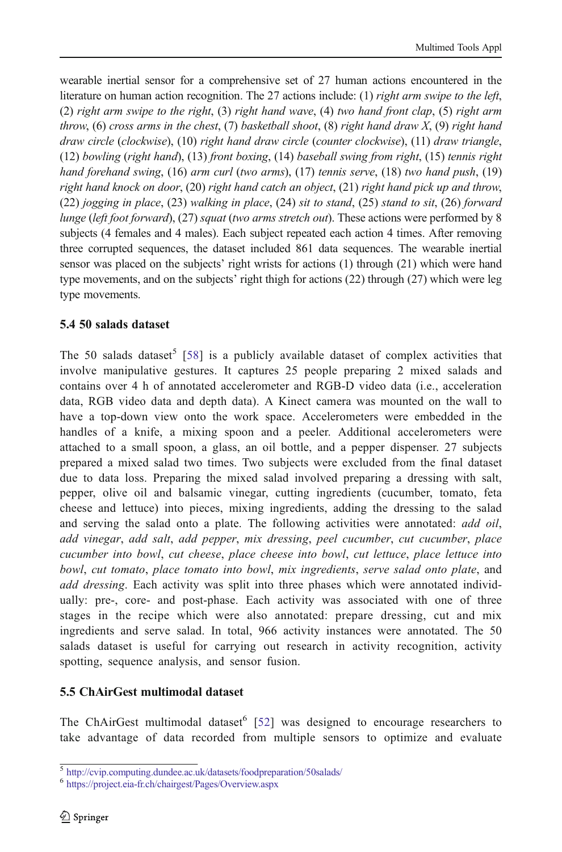wearable inertial sensor for a comprehensive set of 27 human actions encountered in the literature on human action recognition. The 27 actions include: (1) *right arm swipe to the left*, (2) right arm swipe to the right, (3) right hand wave, (4) two hand front clap, (5) right arm throw, (6) cross arms in the chest, (7) basketball shoot, (8) right hand draw  $X$ , (9) right hand draw circle (clockwise), (10) right hand draw circle (counter clockwise), (11) draw triangle, (12) bowling (right hand), (13) front boxing, (14) baseball swing from right, (15) tennis right hand forehand swing, (16) arm curl (two arms), (17) tennis serve, (18) two hand push, (19) right hand knock on door, (20) right hand catch an object, (21) right hand pick up and throw, (22) jogging in place, (23) walking in place, (24) sit to stand, (25) stand to sit, (26) forward lunge (left foot forward), (27) squat (two arms stretch out). These actions were performed by 8 subjects (4 females and 4 males). Each subject repeated each action 4 times. After removing three corrupted sequences, the dataset included 861 data sequences. The wearable inertial sensor was placed on the subjects' right wrists for actions (1) through (21) which were hand type movements, and on the subjects' right thigh for actions (22) through (27) which were leg type movements.

### 5.4 50 salads dataset

The 50 salads dataset<sup>5</sup> [\[58\]](#page-18-0) is a publicly available dataset of complex activities that involve manipulative gestures. It captures 25 people preparing 2 mixed salads and contains over 4 h of annotated accelerometer and RGB-D video data (i.e., acceleration data, RGB video data and depth data). A Kinect camera was mounted on the wall to have a top-down view onto the work space. Accelerometers were embedded in the handles of a knife, a mixing spoon and a peeler. Additional accelerometers were attached to a small spoon, a glass, an oil bottle, and a pepper dispenser. 27 subjects prepared a mixed salad two times. Two subjects were excluded from the final dataset due to data loss. Preparing the mixed salad involved preparing a dressing with salt, pepper, olive oil and balsamic vinegar, cutting ingredients (cucumber, tomato, feta cheese and lettuce) into pieces, mixing ingredients, adding the dressing to the salad and serving the salad onto a plate. The following activities were annotated: *add oil*, add vinegar, add salt, add pepper, mix dressing, peel cucumber, cut cucumber, place cucumber into bowl, cut cheese, place cheese into bowl, cut lettuce, place lettuce into bowl, cut tomato, place tomato into bowl, mix ingredients, serve salad onto plate, and add dressing. Each activity was split into three phases which were annotated individually: pre-, core- and post-phase. Each activity was associated with one of three stages in the recipe which were also annotated: prepare dressing, cut and mix ingredients and serve salad. In total, 966 activity instances were annotated. The 50 salads dataset is useful for carrying out research in activity recognition, activity spotting, sequence analysis, and sensor fusion.

# 5.5 ChAirGest multimodal dataset

The ChAirGest multimodal dataset<sup>6</sup> [[52](#page-18-0)] was designed to encourage researchers to take advantage of data recorded from multiple sensors to optimize and evaluate

<sup>5</sup> <http://cvip.computing.dundee.ac.uk/datasets/foodpreparation/50salads/>

<sup>6</sup> <https://project.eia-fr.ch/chairgest/Pages/Overview.aspx>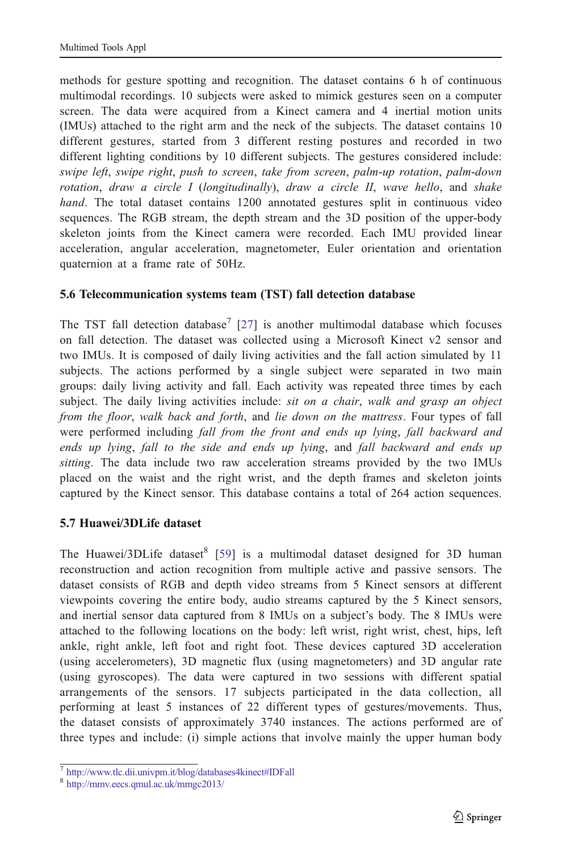methods for gesture spotting and recognition. The dataset contains 6 h of continuous multimodal recordings. 10 subjects were asked to mimick gestures seen on a computer screen. The data were acquired from a Kinect camera and 4 inertial motion units (IMUs) attached to the right arm and the neck of the subjects. The dataset contains 10 different gestures, started from 3 different resting postures and recorded in two different lighting conditions by 10 different subjects. The gestures considered include: swipe left, swipe right, push to screen, take from screen, palm-up rotation, palm-down rotation, draw a circle I (longitudinally), draw a circle II, wave hello, and shake hand. The total dataset contains 1200 annotated gestures split in continuous video sequences. The RGB stream, the depth stream and the 3D position of the upper-body skeleton joints from the Kinect camera were recorded. Each IMU provided linear acceleration, angular acceleration, magnetometer, Euler orientation and orientation quaternion at a frame rate of 50Hz.

### 5.6 Telecommunication systems team (TST) fall detection database

The TST fall detection database<sup>7</sup> [[27](#page-17-0)] is another multimodal database which focuses on fall detection. The dataset was collected using a Microsoft Kinect v2 sensor and two IMUs. It is composed of daily living activities and the fall action simulated by 11 subjects. The actions performed by a single subject were separated in two main groups: daily living activity and fall. Each activity was repeated three times by each subject. The daily living activities include: *sit on a chair*, walk and grasp an object from the floor, walk back and forth, and lie down on the mattress. Four types of fall were performed including fall from the front and ends up lying, fall backward and ends up lying, fall to the side and ends up lying, and fall backward and ends up sitting. The data include two raw acceleration streams provided by the two IMUs placed on the waist and the right wrist, and the depth frames and skeleton joints captured by the Kinect sensor. This database contains a total of 264 action sequences.

### 5.7 Huawei/3DLife dataset

The Huawei/3DLife dataset  $[59]$  $[59]$  is a multimodal dataset designed for 3D human reconstruction and action recognition from multiple active and passive sensors. The dataset consists of RGB and depth video streams from 5 Kinect sensors at different viewpoints covering the entire body, audio streams captured by the 5 Kinect sensors, and inertial sensor data captured from 8 IMUs on a subject's body. The 8 IMUs were attached to the following locations on the body: left wrist, right wrist, chest, hips, left ankle, right ankle, left foot and right foot. These devices captured 3D acceleration (using accelerometers), 3D magnetic flux (using magnetometers) and 3D angular rate (using gyroscopes). The data were captured in two sessions with different spatial arrangements of the sensors. 17 subjects participated in the data collection, all performing at least 5 instances of 22 different types of gestures/movements. Thus, the dataset consists of approximately 3740 instances. The actions performed are of three types and include: (i) simple actions that involve mainly the upper human body

<sup>7</sup> [http://www.tlc.dii.univpm.it/blog/databases4kinect#IDFall](http://www.tlc.dii.univpm.it/blog/databases4kinect%23IDFall)

<sup>8</sup> <http://mmv.eecs.qmul.ac.uk/mmgc2013/>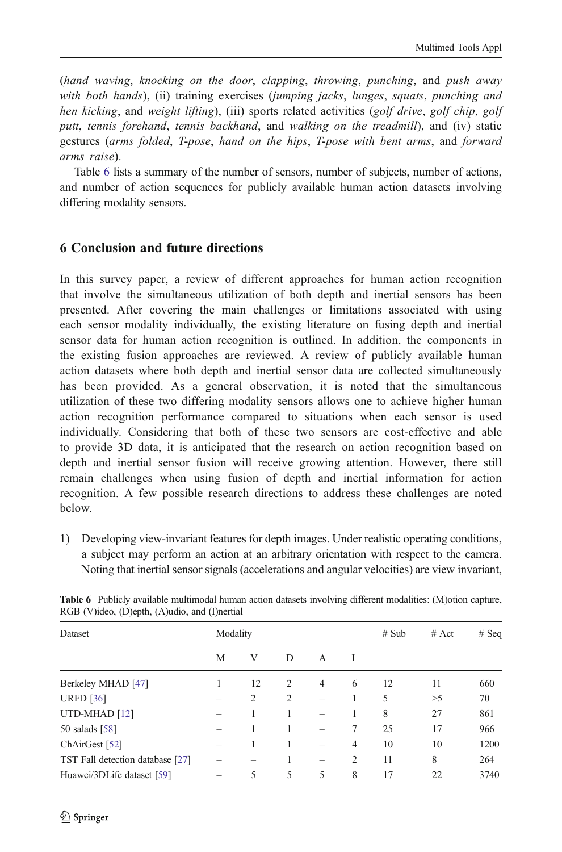<span id="page-15-0"></span>(hand waving, knocking on the door, clapping, throwing, punching, and push away with both hands), (ii) training exercises (jumping jacks, lunges, squats, punching and hen kicking, and weight lifting), (iii) sports related activities (golf drive, golf chip, golf putt, tennis forehand, tennis backhand, and walking on the treadmill), and (iv) static gestures (arms folded, T-pose, hand on the hips, T-pose with bent arms, and forward arms raise).

Table 6 lists a summary of the number of sensors, number of subjects, number of actions, and number of action sequences for publicly available human action datasets involving differing modality sensors.

# 6 Conclusion and future directions

In this survey paper, a review of different approaches for human action recognition that involve the simultaneous utilization of both depth and inertial sensors has been presented. After covering the main challenges or limitations associated with using each sensor modality individually, the existing literature on fusing depth and inertial sensor data for human action recognition is outlined. In addition, the components in the existing fusion approaches are reviewed. A review of publicly available human action datasets where both depth and inertial sensor data are collected simultaneously has been provided. As a general observation, it is noted that the simultaneous utilization of these two differing modality sensors allows one to achieve higher human action recognition performance compared to situations when each sensor is used individually. Considering that both of these two sensors are cost-effective and able to provide 3D data, it is anticipated that the research on action recognition based on depth and inertial sensor fusion will receive growing attention. However, there still remain challenges when using fusion of depth and inertial information for action recognition. A few possible research directions to address these challenges are noted below.

1) Developing view-invariant features for depth images. Under realistic operating conditions, a subject may perform an action at an arbitrary orientation with respect to the camera. Noting that inertial sensor signals (accelerations and angular velocities) are view invariant,

| <b>Dataset</b>                   | Modality |                |   |                          |                | # Sub | # $Act$ | $#$ Seq |
|----------------------------------|----------|----------------|---|--------------------------|----------------|-------|---------|---------|
|                                  | М        | V              | D | A                        | I              |       |         |         |
| Berkeley MHAD [47]               |          | 12             | 2 | $\overline{4}$           | 6              | 12    | 11      | 660     |
| <b>URFD</b> [36]                 |          | $\overline{c}$ | 2 |                          |                | 5     | >5      | 70      |
| UTD-MHAD <sup>[12]</sup>         |          |                |   | -                        |                | 8     | 27      | 861     |
| 50 salads $[58]$                 |          |                |   |                          | 7              | 25    | 17      | 966     |
| ChAirGest [52]                   |          |                | 1 | $\overline{\phantom{a}}$ | $\overline{4}$ | 10    | 10      | 1200    |
| TST Fall detection database [27] |          |                |   | -                        | $\overline{c}$ | 11    | 8       | 264     |
| Huawei/3DLife dataset [59]       |          | 5              | 5 | 5                        | 8              | 17    | 22      | 3740    |
|                                  |          |                |   |                          |                |       |         |         |

Table 6 Publicly available multimodal human action datasets involving different modalities: (M)otion capture, RGB (V)ideo, (D)epth, (A)udio, and (I)nertial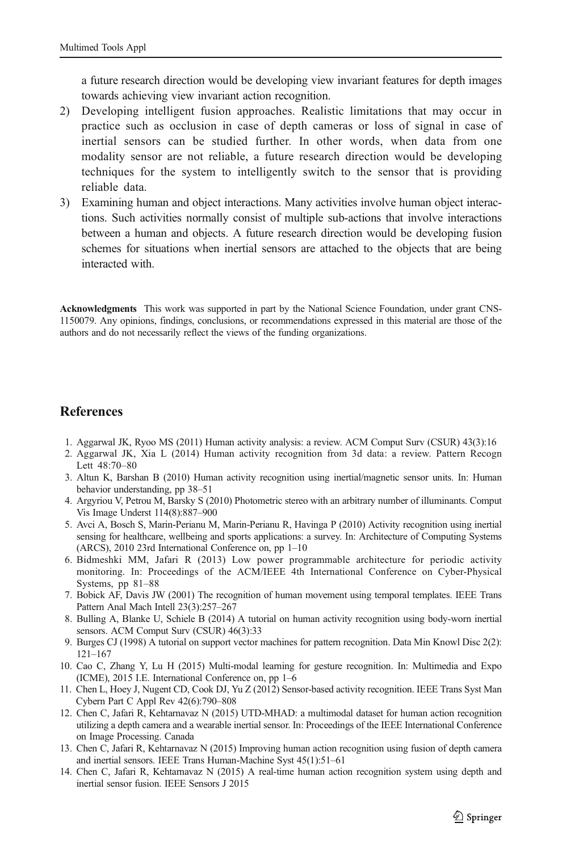<span id="page-16-0"></span>a future research direction would be developing view invariant features for depth images towards achieving view invariant action recognition.

- 2) Developing intelligent fusion approaches. Realistic limitations that may occur in practice such as occlusion in case of depth cameras or loss of signal in case of inertial sensors can be studied further. In other words, when data from one modality sensor are not reliable, a future research direction would be developing techniques for the system to intelligently switch to the sensor that is providing reliable data.
- 3) Examining human and object interactions. Many activities involve human object interactions. Such activities normally consist of multiple sub-actions that involve interactions between a human and objects. A future research direction would be developing fusion schemes for situations when inertial sensors are attached to the objects that are being interacted with.

Acknowledgments This work was supported in part by the National Science Foundation, under grant CNS-1150079. Any opinions, findings, conclusions, or recommendations expressed in this material are those of the authors and do not necessarily reflect the views of the funding organizations.

### **References**

- 1. Aggarwal JK, Ryoo MS (2011) Human activity analysis: a review. ACM Comput Surv (CSUR) 43(3):16
- 2. Aggarwal JK, Xia L (2014) Human activity recognition from 3d data: a review. Pattern Recogn Lett 48:70–80
- 3. Altun K, Barshan B (2010) Human activity recognition using inertial/magnetic sensor units. In: Human behavior understanding, pp 38–51
- 4. Argyriou V, Petrou M, Barsky S (2010) Photometric stereo with an arbitrary number of illuminants. Comput Vis Image Underst 114(8):887–900
- 5. Avci A, Bosch S, Marin-Perianu M, Marin-Perianu R, Havinga P (2010) Activity recognition using inertial sensing for healthcare, wellbeing and sports applications: a survey. In: Architecture of Computing Systems (ARCS), 2010 23rd International Conference on, pp 1–10
- 6. Bidmeshki MM, Jafari R (2013) Low power programmable architecture for periodic activity monitoring. In: Proceedings of the ACM/IEEE 4th International Conference on Cyber-Physical Systems, pp 81–88
- 7. Bobick AF, Davis JW (2001) The recognition of human movement using temporal templates. IEEE Trans Pattern Anal Mach Intell 23(3):257–267
- 8. Bulling A, Blanke U, Schiele B (2014) A tutorial on human activity recognition using body-worn inertial sensors. ACM Comput Surv (CSUR) 46(3):33
- 9. Burges CJ (1998) A tutorial on support vector machines for pattern recognition. Data Min Knowl Disc 2(2): 121–167
- 10. Cao C, Zhang Y, Lu H (2015) Multi-modal learning for gesture recognition. In: Multimedia and Expo (ICME), 2015 I.E. International Conference on, pp 1–6
- 11. Chen L, Hoey J, Nugent CD, Cook DJ, Yu Z (2012) Sensor-based activity recognition. IEEE Trans Syst Man Cybern Part C Appl Rev 42(6):790–808
- 12. Chen C, Jafari R, Kehtarnavaz N (2015) UTD-MHAD: a multimodal dataset for human action recognition utilizing a depth camera and a wearable inertial sensor. In: Proceedings of the IEEE International Conference on Image Processing. Canada
- 13. Chen C, Jafari R, Kehtarnavaz N (2015) Improving human action recognition using fusion of depth camera and inertial sensors. IEEE Trans Human-Machine Syst 45(1):51–61
- 14. Chen C, Jafari R, Kehtarnavaz N (2015) A real-time human action recognition system using depth and inertial sensor fusion. IEEE Sensors J 2015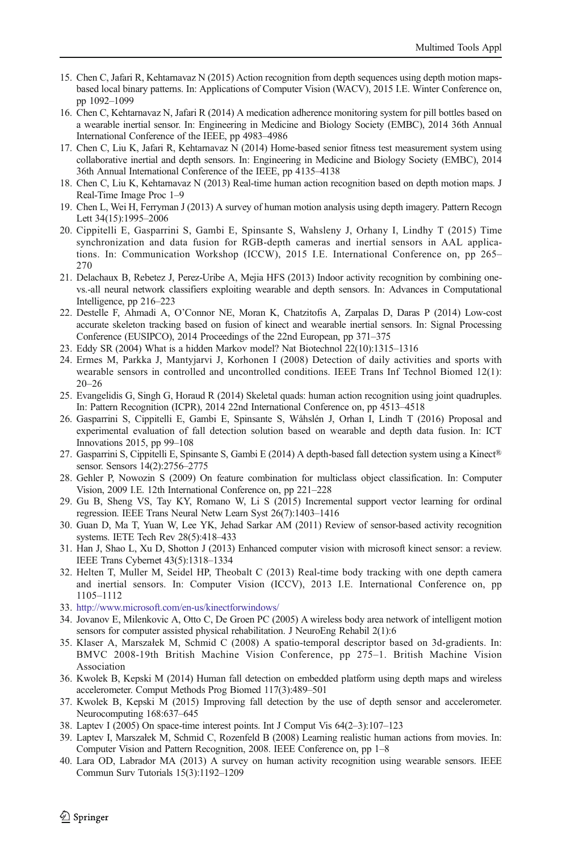- <span id="page-17-0"></span>15. Chen C, Jafari R, Kehtarnavaz N (2015) Action recognition from depth sequences using depth motion mapsbased local binary patterns. In: Applications of Computer Vision (WACV), 2015 I.E. Winter Conference on, pp 1092–1099
- 16. Chen C, Kehtarnavaz N, Jafari R (2014) A medication adherence monitoring system for pill bottles based on a wearable inertial sensor. In: Engineering in Medicine and Biology Society (EMBC), 2014 36th Annual International Conference of the IEEE, pp 4983–4986
- 17. Chen C, Liu K, Jafari R, Kehtarnavaz N (2014) Home-based senior fitness test measurement system using collaborative inertial and depth sensors. In: Engineering in Medicine and Biology Society (EMBC), 2014 36th Annual International Conference of the IEEE, pp 4135–4138
- 18. Chen C, Liu K, Kehtarnavaz N (2013) Real-time human action recognition based on depth motion maps. J Real-Time Image Proc 1–9
- 19. Chen L, Wei H, Ferryman J (2013) A survey of human motion analysis using depth imagery. Pattern Recogn Lett 34(15):1995–2006
- 20. Cippitelli E, Gasparrini S, Gambi E, Spinsante S, Wahsleny J, Orhany I, Lindhy T (2015) Time synchronization and data fusion for RGB-depth cameras and inertial sensors in AAL applications. In: Communication Workshop (ICCW), 2015 I.E. International Conference on, pp 265– 270
- 21. Delachaux B, Rebetez J, Perez-Uribe A, Mejia HFS (2013) Indoor activity recognition by combining onevs.-all neural network classifiers exploiting wearable and depth sensors. In: Advances in Computational Intelligence, pp 216–223
- 22. Destelle F, Ahmadi A, O'Connor NE, Moran K, Chatzitofis A, Zarpalas D, Daras P (2014) Low-cost accurate skeleton tracking based on fusion of kinect and wearable inertial sensors. In: Signal Processing Conference (EUSIPCO), 2014 Proceedings of the 22nd European, pp 371–375
- 23. Eddy SR (2004) What is a hidden Markov model? Nat Biotechnol 22(10):1315–1316
- 24. Ermes M, Parkka J, Mantyjarvi J, Korhonen I (2008) Detection of daily activities and sports with wearable sensors in controlled and uncontrolled conditions. IEEE Trans Inf Technol Biomed 12(1): 20–26
- 25. Evangelidis G, Singh G, Horaud R (2014) Skeletal quads: human action recognition using joint quadruples. In: Pattern Recognition (ICPR), 2014 22nd International Conference on, pp 4513–4518
- 26. Gasparrini S, Cippitelli E, Gambi E, Spinsante S, Wåhslén J, Orhan I, Lindh T (2016) Proposal and experimental evaluation of fall detection solution based on wearable and depth data fusion. In: ICT Innovations 2015, pp 99–108
- 27. Gasparrini S, Cippitelli E, Spinsante S, Gambi E (2014) A depth-based fall detection system using a Kinect® sensor. Sensors 14(2):2756–2775
- 28. Gehler P, Nowozin S (2009) On feature combination for multiclass object classification. In: Computer Vision, 2009 I.E. 12th International Conference on, pp 221–228
- 29. Gu B, Sheng VS, Tay KY, Romano W, Li S (2015) Incremental support vector learning for ordinal regression. IEEE Trans Neural Netw Learn Syst 26(7):1403–1416
- 30. Guan D, Ma T, Yuan W, Lee YK, Jehad Sarkar AM (2011) Review of sensor-based activity recognition systems. IETE Tech Rev 28(5):418–433
- 31. Han J, Shao L, Xu D, Shotton J (2013) Enhanced computer vision with microsoft kinect sensor: a review. IEEE Trans Cybernet 43(5):1318–1334
- 32. Helten T, Muller M, Seidel HP, Theobalt C (2013) Real-time body tracking with one depth camera and inertial sensors. In: Computer Vision (ICCV), 2013 I.E. International Conference on, pp 1105–1112
- 33. <http://www.microsoft.com/en-us/kinectforwindows/>
- 34. Jovanov E, Milenkovic A, Otto C, De Groen PC (2005) A wireless body area network of intelligent motion sensors for computer assisted physical rehabilitation. J NeuroEng Rehabil 2(1):6
- 35. Klaser A, Marszałek M, Schmid C (2008) A spatio-temporal descriptor based on 3d-gradients. In: BMVC 2008-19th British Machine Vision Conference, pp 275–1. British Machine Vision Association
- 36. Kwolek B, Kepski M (2014) Human fall detection on embedded platform using depth maps and wireless accelerometer. Comput Methods Prog Biomed 117(3):489–501
- 37. Kwolek B, Kepski M (2015) Improving fall detection by the use of depth sensor and accelerometer. Neurocomputing 168:637–645
- 38. Laptev I (2005) On space-time interest points. Int J Comput Vis 64(2–3):107–123
- 39. Laptev I, Marszałek M, Schmid C, Rozenfeld B (2008) Learning realistic human actions from movies. In: Computer Vision and Pattern Recognition, 2008. IEEE Conference on, pp 1–8
- 40. Lara OD, Labrador MA (2013) A survey on human activity recognition using wearable sensors. IEEE Commun Surv Tutorials 15(3):1192–1209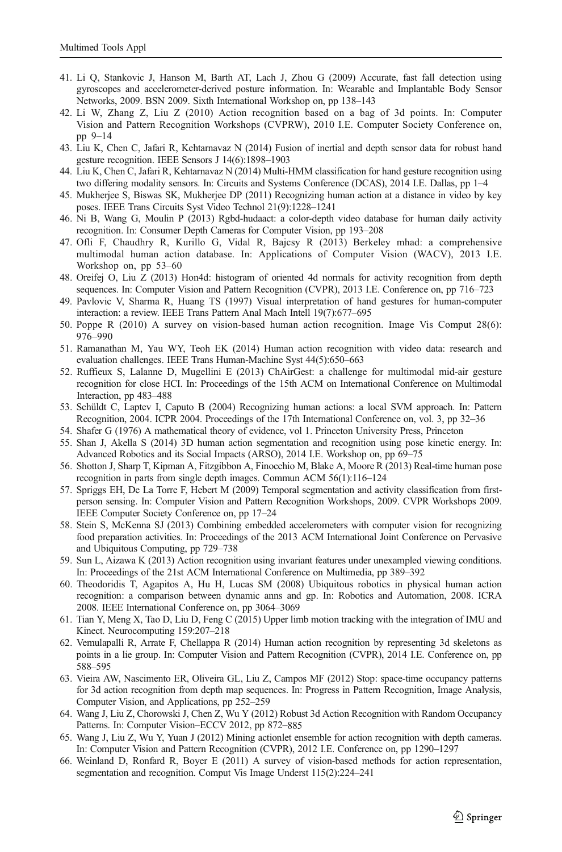- <span id="page-18-0"></span>41. Li Q, Stankovic J, Hanson M, Barth AT, Lach J, Zhou G (2009) Accurate, fast fall detection using gyroscopes and accelerometer-derived posture information. In: Wearable and Implantable Body Sensor Networks, 2009. BSN 2009. Sixth International Workshop on, pp 138–143
- 42. Li W, Zhang Z, Liu Z (2010) Action recognition based on a bag of 3d points. In: Computer Vision and Pattern Recognition Workshops (CVPRW), 2010 I.E. Computer Society Conference on, pp 9–14
- 43. Liu K, Chen C, Jafari R, Kehtarnavaz N (2014) Fusion of inertial and depth sensor data for robust hand gesture recognition. IEEE Sensors J 14(6):1898–1903
- 44. Liu K, Chen C, Jafari R, Kehtarnavaz N (2014) Multi-HMM classification for hand gesture recognition using two differing modality sensors. In: Circuits and Systems Conference (DCAS), 2014 I.E. Dallas, pp 1–4
- 45. Mukherjee S, Biswas SK, Mukherjee DP (2011) Recognizing human action at a distance in video by key poses. IEEE Trans Circuits Syst Video Technol 21(9):1228–1241
- 46. Ni B, Wang G, Moulin P (2013) Rgbd-hudaact: a color-depth video database for human daily activity recognition. In: Consumer Depth Cameras for Computer Vision, pp 193–208
- 47. Ofli F, Chaudhry R, Kurillo G, Vidal R, Bajcsy R (2013) Berkeley mhad: a comprehensive multimodal human action database. In: Applications of Computer Vision (WACV), 2013 I.E. Workshop on, pp 53–60
- 48. Oreifej O, Liu Z (2013) Hon4d: histogram of oriented 4d normals for activity recognition from depth sequences. In: Computer Vision and Pattern Recognition (CVPR), 2013 I.E. Conference on, pp 716–723
- 49. Pavlovic V, Sharma R, Huang TS (1997) Visual interpretation of hand gestures for human-computer interaction: a review. IEEE Trans Pattern Anal Mach Intell 19(7):677–695
- 50. Poppe R (2010) A survey on vision-based human action recognition. Image Vis Comput 28(6): 976–990
- 51. Ramanathan M, Yau WY, Teoh EK (2014) Human action recognition with video data: research and evaluation challenges. IEEE Trans Human-Machine Syst 44(5):650–663
- 52. Ruffieux S, Lalanne D, Mugellini E (2013) ChAirGest: a challenge for multimodal mid-air gesture recognition for close HCI. In: Proceedings of the 15th ACM on International Conference on Multimodal Interaction, pp 483–488
- 53. Schüldt C, Laptev I, Caputo B (2004) Recognizing human actions: a local SVM approach. In: Pattern Recognition, 2004. ICPR 2004. Proceedings of the 17th International Conference on, vol. 3, pp 32–36
- 54. Shafer G (1976) A mathematical theory of evidence, vol 1. Princeton University Press, Princeton
- 55. Shan J, Akella S (2014) 3D human action segmentation and recognition using pose kinetic energy. In: Advanced Robotics and its Social Impacts (ARSO), 2014 I.E. Workshop on, pp 69–75
- 56. Shotton J, Sharp T, Kipman A, Fitzgibbon A, Finocchio M, Blake A, Moore R (2013) Real-time human pose recognition in parts from single depth images. Commun ACM 56(1):116–124
- 57. Spriggs EH, De La Torre F, Hebert M (2009) Temporal segmentation and activity classification from firstperson sensing. In: Computer Vision and Pattern Recognition Workshops, 2009. CVPR Workshops 2009. IEEE Computer Society Conference on, pp 17–24
- 58. Stein S, McKenna SJ (2013) Combining embedded accelerometers with computer vision for recognizing food preparation activities. In: Proceedings of the 2013 ACM International Joint Conference on Pervasive and Ubiquitous Computing, pp 729–738
- 59. Sun L, Aizawa K (2013) Action recognition using invariant features under unexampled viewing conditions. In: Proceedings of the 21st ACM International Conference on Multimedia, pp 389–392
- 60. Theodoridis T, Agapitos A, Hu H, Lucas SM (2008) Ubiquitous robotics in physical human action recognition: a comparison between dynamic anns and gp. In: Robotics and Automation, 2008. ICRA 2008. IEEE International Conference on, pp 3064–3069
- 61. Tian Y, Meng X, Tao D, Liu D, Feng C (2015) Upper limb motion tracking with the integration of IMU and Kinect. Neurocomputing 159:207–218
- 62. Vemulapalli R, Arrate F, Chellappa R (2014) Human action recognition by representing 3d skeletons as points in a lie group. In: Computer Vision and Pattern Recognition (CVPR), 2014 I.E. Conference on, pp 588–595
- 63. Vieira AW, Nascimento ER, Oliveira GL, Liu Z, Campos MF (2012) Stop: space-time occupancy patterns for 3d action recognition from depth map sequences. In: Progress in Pattern Recognition, Image Analysis, Computer Vision, and Applications, pp 252–259
- 64. Wang J, Liu Z, Chorowski J, Chen Z, Wu Y (2012) Robust 3d Action Recognition with Random Occupancy Patterns. In: Computer Vision–ECCV 2012, pp 872–885
- 65. Wang J, Liu Z, Wu Y, Yuan J (2012) Mining actionlet ensemble for action recognition with depth cameras. In: Computer Vision and Pattern Recognition (CVPR), 2012 I.E. Conference on, pp 1290–1297
- 66. Weinland D, Ronfard R, Boyer E (2011) A survey of vision-based methods for action representation, segmentation and recognition. Comput Vis Image Underst 115(2):224–241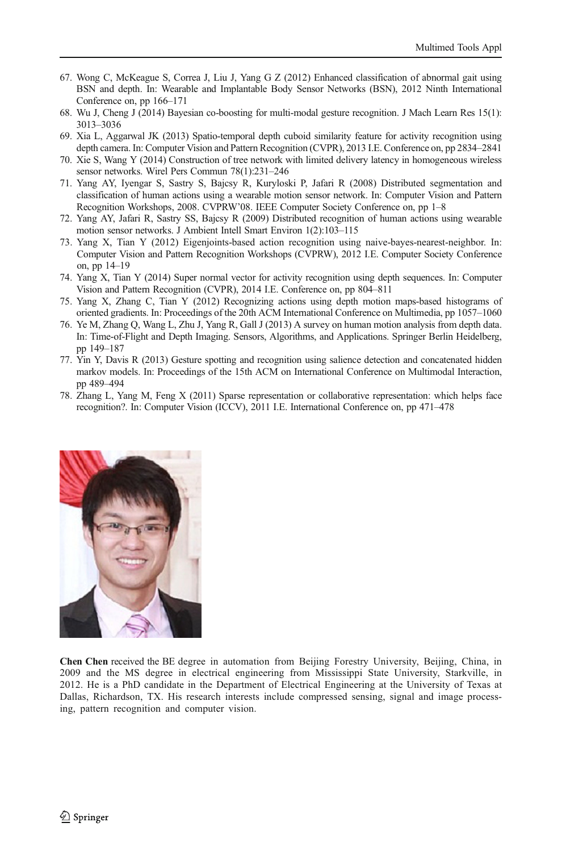- <span id="page-19-0"></span>67. Wong C, McKeague S, Correa J, Liu J, Yang G Z (2012) Enhanced classification of abnormal gait using BSN and depth. In: Wearable and Implantable Body Sensor Networks (BSN), 2012 Ninth International Conference on, pp 166–171
- 68. Wu J, Cheng J (2014) Bayesian co-boosting for multi-modal gesture recognition. J Mach Learn Res 15(1): 3013–3036
- 69. Xia L, Aggarwal JK (2013) Spatio-temporal depth cuboid similarity feature for activity recognition using depth camera. In: Computer Vision and Pattern Recognition (CVPR), 2013 I.E. Conference on, pp 2834–2841
- 70. Xie S, Wang Y (2014) Construction of tree network with limited delivery latency in homogeneous wireless sensor networks. Wirel Pers Commun 78(1):231–246
- 71. Yang AY, Iyengar S, Sastry S, Bajcsy R, Kuryloski P, Jafari R (2008) Distributed segmentation and classification of human actions using a wearable motion sensor network. In: Computer Vision and Pattern Recognition Workshops, 2008. CVPRW'08. IEEE Computer Society Conference on, pp 1–8
- 72. Yang AY, Jafari R, Sastry SS, Bajcsy R (2009) Distributed recognition of human actions using wearable motion sensor networks. J Ambient Intell Smart Environ 1(2):103–115
- 73. Yang X, Tian Y (2012) Eigenjoints-based action recognition using naive-bayes-nearest-neighbor. In: Computer Vision and Pattern Recognition Workshops (CVPRW), 2012 I.E. Computer Society Conference on, pp 14–19
- 74. Yang X, Tian Y (2014) Super normal vector for activity recognition using depth sequences. In: Computer Vision and Pattern Recognition (CVPR), 2014 I.E. Conference on, pp 804–811
- 75. Yang X, Zhang C, Tian Y (2012) Recognizing actions using depth motion maps-based histograms of oriented gradients. In: Proceedings of the 20th ACM International Conference on Multimedia, pp 1057–1060
- 76. Ye M, Zhang Q, Wang L, Zhu J, Yang R, Gall J (2013) A survey on human motion analysis from depth data. In: Time-of-Flight and Depth Imaging. Sensors, Algorithms, and Applications. Springer Berlin Heidelberg, pp 149–187
- 77. Yin Y, Davis R (2013) Gesture spotting and recognition using salience detection and concatenated hidden markov models. In: Proceedings of the 15th ACM on International Conference on Multimodal Interaction, pp 489–494
- 78. Zhang L, Yang M, Feng X (2011) Sparse representation or collaborative representation: which helps face recognition?. In: Computer Vision (ICCV), 2011 I.E. International Conference on, pp 471–478



Chen Chen received the BE degree in automation from Beijing Forestry University, Beijing, China, in 2009 and the MS degree in electrical engineering from Mississippi State University, Starkville, in 2012. He is a PhD candidate in the Department of Electrical Engineering at the University of Texas at Dallas, Richardson, TX. His research interests include compressed sensing, signal and image processing, pattern recognition and computer vision.